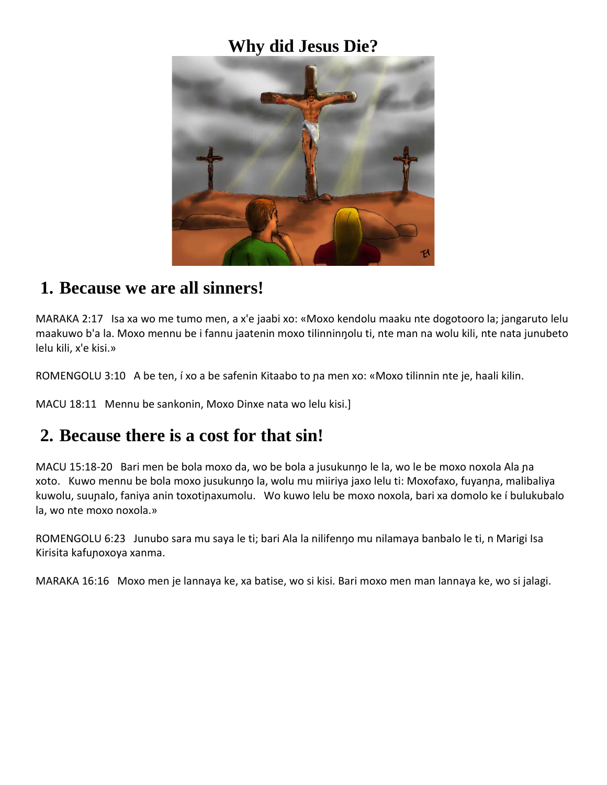### **Why did Jesus Die?**



#### **1. Because we are all sinners!**

MARAKA 2:17 Isa xa wo me tumo men, a x'e jaabi xo: «Moxo kendolu maaku nte dogotooro la; jangaruto lelu maakuwo b'a la. Moxo mennu be i fannu jaatenin moxo tilinninŋolu ti, nte man na wolu kili, nte nata junubeto lelu kili, x'e kisi.»

ROMENGOLU 3:10 A be ten, í xo a be safenin Kitaabo to na men xo: «Moxo tilinnin nte je, haali kilin.

MACU 18:11 Mennu be sankonin, Moxo Dinxe nata wo lelu kisi.]

#### **2. Because there is a cost for that sin!**

MACU 15:18-20 Bari men be bola moxo da, wo be bola a jusukunŋo le la, wo le be moxo noxola Ala ɲa xoto. Kuwo mennu be bola moxo jusukunŋo la, wolu mu miiriya jaxo lelu ti: Moxofaxo, fuyanɲa, malibaliya kuwolu, suunalo, faniya anin toxotinaxumolu. Wo kuwo lelu be moxo noxola, bari xa domolo ke í bulukubalo la, wo nte moxo noxola.»

ROMENGOLU 6:23 Junubo sara mu saya le ti; bari Ala la nilifenŋo mu nilamaya banbalo le ti, n Marigi Isa Kirisita kafuɲoxoya xanma.

MARAKA 16:16 Moxo men je lannaya ke, xa batise, wo si kisi. Bari moxo men man lannaya ke, wo si jalagi.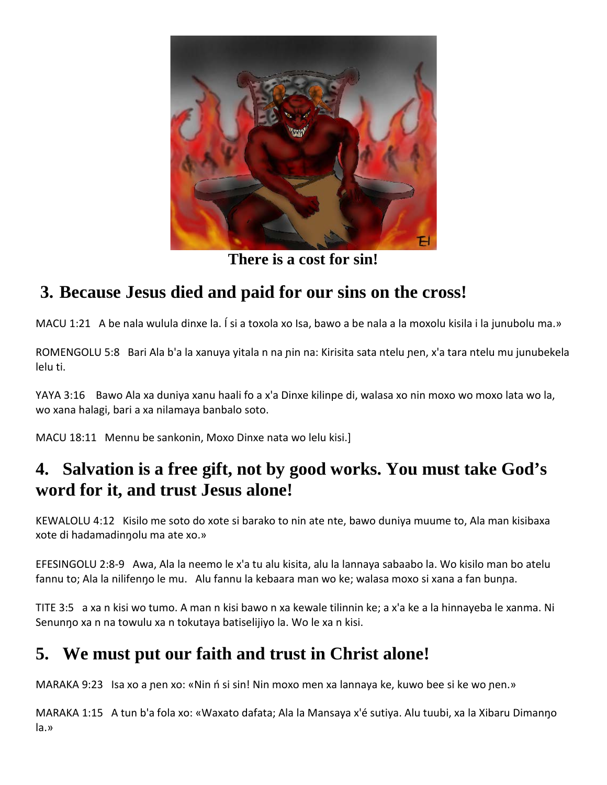

**There is a cost for sin!**

# **3. Because Jesus died and paid for our sins on the cross!**

MACU 1:21 A be nala wulula dinxe la. Í si a toxola xo Isa, bawo a be nala a la moxolu kisila i la junubolu ma.»

ROMENGOLU 5:8 Bari Ala b'a la xanuya yitala n na ɲin na: Kirisita sata ntelu ɲen, x'a tara ntelu mu junubekela lelu ti.

YAYA 3:16 Bawo Ala xa duniya xanu haali fo a x'a Dinxe kilinpe di, walasa xo nin moxo wo moxo lata wo la, wo xana halagi, bari a xa nilamaya banbalo soto.

MACU 18:11 Mennu be sankonin, Moxo Dinxe nata wo lelu kisi.]

### **4. Salvation is a free gift, not by good works. You must take God's word for it, and trust Jesus alone!**

KEWALOLU 4:12 Kisilo me soto do xote si barako to nin ate nte, bawo duniya muume to, Ala man kisibaxa xote di hadamadinŋolu ma ate xo.»

EFESINGOLU 2:8-9 Awa, Ala la neemo le x'a tu alu kisita, alu la lannaya sabaabo la. Wo kisilo man bo atelu fannu to; Ala la nilifenŋo le mu. Alu fannu la kebaara man wo ke; walasa moxo si xana a fan bunɲa.

TITE 3:5 a xa n kisi wo tumo. A man n kisi bawo n xa kewale tilinnin ke; a x'a ke a la hinnayeba le xanma. Ni Senunŋo xa n na towulu xa n tokutaya batiselijiyo la. Wo le xa n kisi.

# **5. We must put our faith and trust in Christ alone!**

MARAKA 9:23 Isa xo a nen xo: «Nin n si sin! Nin moxo men xa lannaya ke, kuwo bee si ke wo nen.»

MARAKA 1:15 A tun b'a fola xo: «Waxato dafata; Ala la Mansaya x'é sutiya. Alu tuubi, xa la Xibaru Dimanŋo la.»